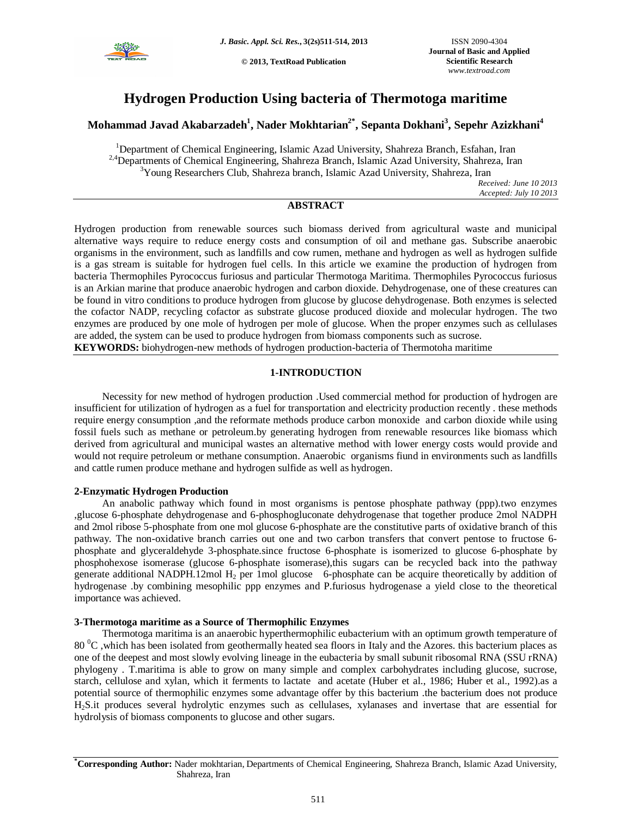

**© 2013, TextRoad Publication**

# **Hydrogen Production Using bacteria of Thermotoga maritime**

# **Mohammad Javad Akabarzadeh<sup>1</sup> , Nader Mokhtarian2\*, Sepanta Dokhani<sup>3</sup> , Sepehr Azizkhani<sup>4</sup>**

<sup>1</sup>Department of Chemical Engineering, Islamic Azad University, Shahreza Branch, Esfahan, Iran <sup>2,4</sup>Departments of Chemical Engineering, Shahreza Branch, Islamic Azad University, Shahreza, Iran <sup>3</sup>Young Researchers Club, Shahreza branch, Islamic Azad University, Shahreza, Iran

*Received: June 10 2013 Accepted: July 10 2013*

## **ABSTRACT**

Hydrogen production from renewable sources such biomass derived from agricultural waste and municipal alternative ways require to reduce energy costs and consumption of oil and methane gas. Subscribe anaerobic organisms in the environment, such as landfills and cow rumen, methane and hydrogen as well as hydrogen sulfide is a gas stream is suitable for hydrogen fuel cells. In this article we examine the production of hydrogen from bacteria Thermophiles Pyrococcus furiosus and particular Thermotoga Maritima. Thermophiles Pyrococcus furiosus is an Arkian marine that produce anaerobic hydrogen and carbon dioxide. Dehydrogenase, one of these creatures can be found in vitro conditions to produce hydrogen from glucose by glucose dehydrogenase. Both enzymes is selected the cofactor NADP, recycling cofactor as substrate glucose produced dioxide and molecular hydrogen. The two enzymes are produced by one mole of hydrogen per mole of glucose. When the proper enzymes such as cellulases are added, the system can be used to produce hydrogen from biomass components such as sucrose.

**KEYWORDS:** biohydrogen-new methods of hydrogen production-bacteria of Thermotoha maritime

### **1-INTRODUCTION**

Necessity for new method of hydrogen production .Used commercial method for production of hydrogen are insufficient for utilization of hydrogen as a fuel for transportation and electricity production recently . these methods require energy consumption ,and the reformate methods produce carbon monoxide and carbon dioxide while using fossil fuels such as methane or petroleum.by generating hydrogen from renewable resources like biomass which derived from agricultural and municipal wastes an alternative method with lower energy costs would provide and would not require petroleum or methane consumption. Anaerobic organisms fiund in environments such as landfills and cattle rumen produce methane and hydrogen sulfide as well as hydrogen.

#### **2-Enzymatic Hydrogen Production**

An anabolic pathway which found in most organisms is pentose phosphate pathway (ppp).two enzymes ,glucose 6-phosphate dehydrogenase and 6-phosphogluconate dehydrogenase that together produce 2mol NADPH and 2mol ribose 5-phosphate from one mol glucose 6-phosphate are the constitutive parts of oxidative branch of this pathway. The non-oxidative branch carries out one and two carbon transfers that convert pentose to fructose 6 phosphate and glyceraldehyde 3-phosphate.since fructose 6-phosphate is isomerized to glucose 6-phosphate by phosphohexose isomerase (glucose 6-phosphate isomerase),this sugars can be recycled back into the pathway generate additional NADPH.12mol  $H_2$  per 1mol glucose 6-phosphate can be acquire theoretically by addition of hydrogenase .by combining mesophilic ppp enzymes and P.furiosus hydrogenase a yield close to the theoretical importance was achieved.

#### **3-Thermotoga maritime as a Source of Thermophilic Enzymes**

Thermotoga maritima is an anaerobic hyperthermophilic eubacterium with an optimum growth temperature of 80 <sup>0</sup>C ,which has been isolated from geothermally heated sea floors in Italy and the Azores. this bacterium places as one of the deepest and most slowly evolving lineage in the eubacteria by small subunit ribosomal RNA (SSU rRNA) phylogeny . T.maritima is able to grow on many simple and complex carbohydrates including glucose, sucrose, starch, cellulose and xylan, which it ferments to lactate and acetate (Huber et al., 1986; Huber et al., 1992).as a potential source of thermophilic enzymes some advantage offer by this bacterium .the bacterium does not produce H2S.it produces several hydrolytic enzymes such as cellulases, xylanases and invertase that are essential for hydrolysis of biomass components to glucose and other sugars.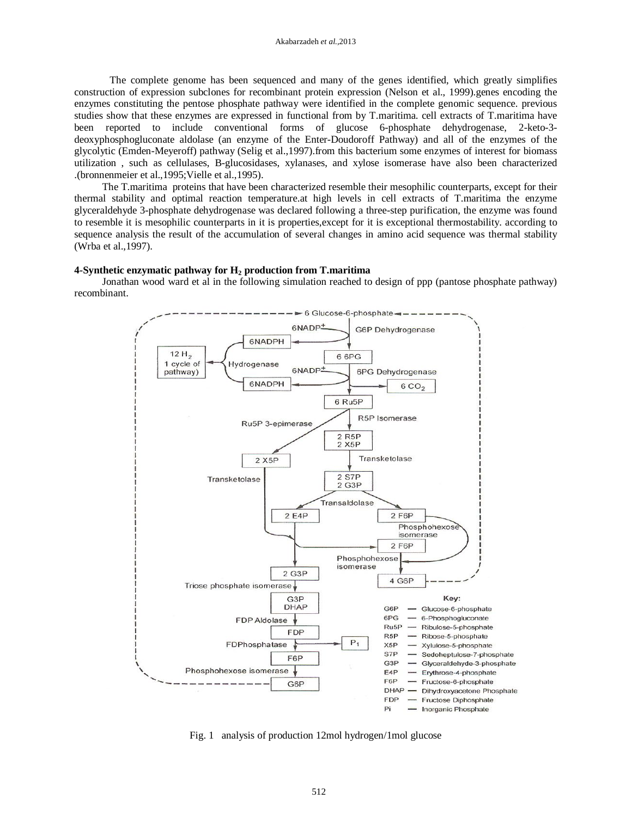The complete genome has been sequenced and many of the genes identified, which greatly simplifies construction of expression subclones for recombinant protein expression (Nelson et al., 1999).genes encoding the enzymes constituting the pentose phosphate pathway were identified in the complete genomic sequence. previous studies show that these enzymes are expressed in functional from by T.maritima. cell extracts of T.maritima have been reported to include conventional forms of glucose 6-phosphate dehydrogenase, 2-keto-3 deoxyphosphogluconate aldolase (an enzyme of the Enter-Doudoroff Pathway) and all of the enzymes of the glycolytic (Emden-Meyeroff) pathway (Selig et al.,1997).from this bacterium some enzymes of interest for biomass utilization , such as cellulases, B-glucosidases, xylanases, and xylose isomerase have also been characterized .(bronnenmeier et al.,1995;Vielle et al.,1995).

The T.maritima proteins that have been characterized resemble their mesophilic counterparts, except for their thermal stability and optimal reaction temperature.at high levels in cell extracts of T.maritima the enzyme glyceraldehyde 3-phosphate dehydrogenase was declared following a three-step purification, the enzyme was found to resemble it is mesophilic counterparts in it is properties,except for it is exceptional thermostability. according to sequence analysis the result of the accumulation of several changes in amino acid sequence was thermal stability (Wrba et al.,1997).

#### **4-Synthetic enzymatic pathway for H<sup>2</sup> production from T.maritima**

Jonathan wood ward et al in the following simulation reached to design of ppp (pantose phosphate pathway) recombinant.



Fig. 1 analysis of production 12mol hydrogen/1mol glucose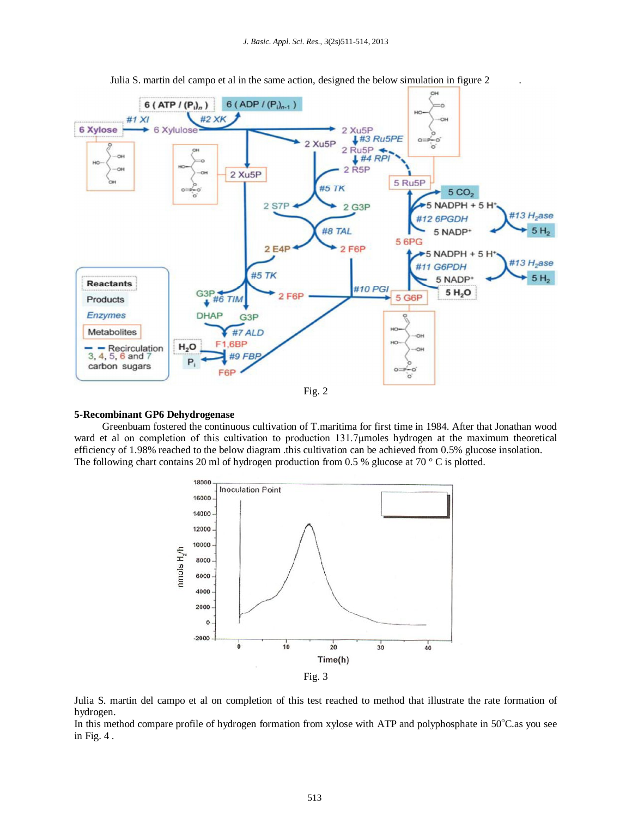

Julia S. martin del campo et al in the same action, designed the below simulation in figure 2 .

#### **5-Recombinant GP6 Dehydrogenase**

Greenbuam fostered the continuous cultivation of T.maritima for first time in 1984. After that Jonathan wood ward et al on completion of this cultivation to production 131.7 µmoles hydrogen at the maximum theoretical efficiency of 1.98% reached to the below diagram .this cultivation can be achieved from 0.5% glucose insolation. The following chart contains 20 ml of hydrogen production from 0.5 % glucose at 70  $\degree$  C is plotted.



Julia S. martin del campo et al on completion of this test reached to method that illustrate the rate formation of hydrogen.

In this method compare profile of hydrogen formation from xylose with ATP and polyphosphate in  $50^{\circ}$ C.as you see in Fig. 4 .